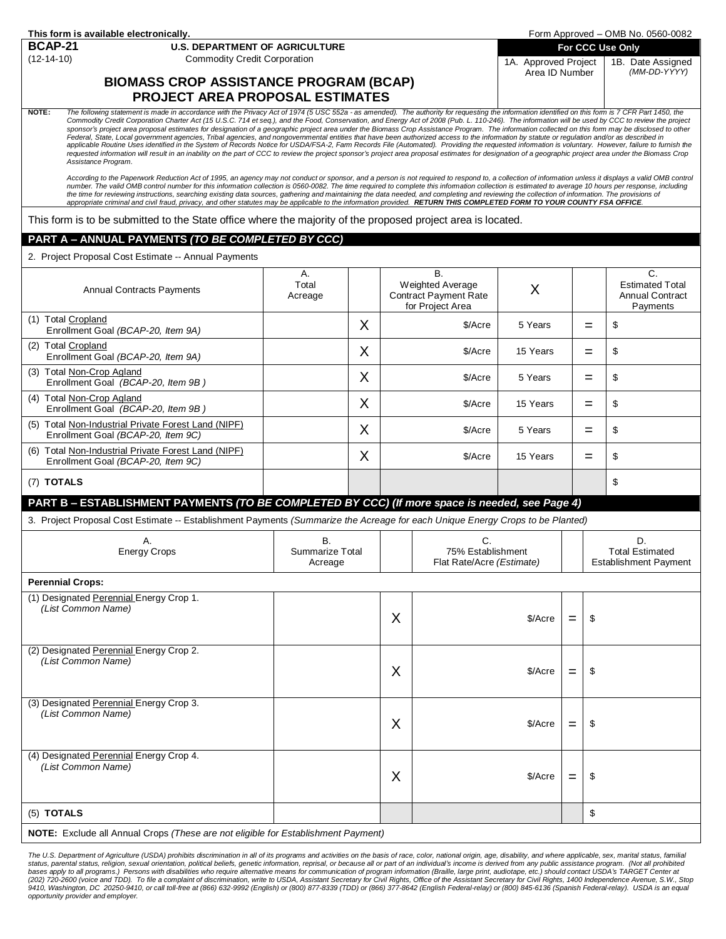|  |  |  |  | This form is available electronically. |  |
|--|--|--|--|----------------------------------------|--|
|--|--|--|--|----------------------------------------|--|

### **BCAP-21 U.S. DEPARTMENT OF AGRICULTURE**

(12-14-10) Commodity Credit Corporation

# **BIOMASS CROP ASSISTANCE PROGRAM (BCAP) PROJECT AREA PROPOSAL ESTIMATES**

**For CCC Use Only** 1A. Approved Project Area ID Number

1B. Date Assigned *(MM-DD-YYYY)*

NOTE: The following statement is made in accordance with the Privacy Act of 1974 (5 USC 552a - as amended). The authority for requesting the information identified on this form is 7 CFR Part 1450, the Commodity Credit Corporation Charter Act (15 U.S.C. 714 et seq.), and the Food, Conservation, and Energy Act of 2008 (Pub. L. 110-246). The information will be used by CCC to review the project<br>sponsor's project area propo *Federal, State, Local government agencies, Tribal agencies, and nongovernmental entities that have been authorized access to the information by statute or regulation and/or as described in applicable Routine Uses identified in the System of Records Notice for USDA/FSA-2, Farm Records File (Automated). Providing the requested information is voluntary. However, failure to furnish the requested information will result in an inability on the part of CCC to review the project sponsor's project area proposal estimates for designation of a geographic project area under the Biomass Crop Assistance Program.*

According to the Paperwork Reduction Act of 1995, an agency may not conduct or sponsor, and a person is not required to respond to, a collection of information unless it displays a valid OMB control<br>number. The valid OMB c *appropriate criminal and civil fraud, privacy, and other statutes may be applicable to the information provided. RETURN THIS COMPLETED FORM TO YOUR COUNTY FSA OFFICE.*

This form is to be submitted to the State office where the majority of the proposed project area is located.

### **PART A –ANNUAL PAYMENTS** *(TO BE COMPLETED BY CCC)*

2. Project Proposal Cost Estimate -- Annual Payments

| <b>Annual Contracts Payments</b>                                                                                               | A.<br>Total<br>Acreage           |   | $\overline{B}$ .<br>Weighted Average<br><b>Contract Payment Rate</b><br>for Project Area |                                                      | X        |     |     | $\overline{C}$<br><b>Estimated Total</b><br><b>Annual Contract</b><br>Payments |
|--------------------------------------------------------------------------------------------------------------------------------|----------------------------------|---|------------------------------------------------------------------------------------------|------------------------------------------------------|----------|-----|-----|--------------------------------------------------------------------------------|
| (1) Total Cropland<br>Enrollment Goal (BCAP-20, Item 9A)                                                                       |                                  | X |                                                                                          | \$/Acre                                              | 5 Years  |     | $=$ | \$                                                                             |
| (2) Total Cropland<br>Enrollment Goal (BCAP-20, Item 9A)                                                                       |                                  | X |                                                                                          | \$/Acre                                              | 15 Years |     | $=$ | \$                                                                             |
| (3) Total Non-Crop Agland<br>Enrollment Goal (BCAP-20, Item 9B)                                                                |                                  | X | \$/Acre                                                                                  |                                                      | 5 Years  |     | $=$ | \$                                                                             |
| (4) Total Non-Crop Agland<br>Enrollment Goal (BCAP-20, Item 9B)                                                                |                                  | X |                                                                                          | \$/Acre                                              | 15 Years |     | $=$ | \$                                                                             |
| (5) Total Non-Industrial Private Forest Land (NIPF)<br>Enrollment Goal (BCAP-20, Item 9C)                                      |                                  | X |                                                                                          | \$/Acre                                              | 5 Years  |     | $=$ | \$                                                                             |
| (6) Total Non-Industrial Private Forest Land (NIPF)<br>Enrollment Goal (BCAP-20, Item 9C)                                      |                                  | X | \$/Acre                                                                                  |                                                      | 15 Years |     | $=$ | \$                                                                             |
| (7) TOTALS                                                                                                                     |                                  |   |                                                                                          |                                                      |          |     |     | \$                                                                             |
| PART B - ESTABLISHMENT PAYMENTS (TO BE COMPLETED BY CCC) (If more space is needed, see Page 4)                                 |                                  |   |                                                                                          |                                                      |          |     |     |                                                                                |
| 3. Project Proposal Cost Estimate -- Establishment Payments (Summarize the Acreage for each Unique Energy Crops to be Planted) |                                  |   |                                                                                          |                                                      |          |     |     |                                                                                |
| Α.<br><b>Energy Crops</b>                                                                                                      | В.<br>Summarize Total<br>Acreage |   |                                                                                          | C.<br>75% Establishment<br>Flat Rate/Acre (Estimate) |          |     |     | D.<br><b>Total Estimated</b><br><b>Establishment Payment</b>                   |
| <b>Perennial Crops:</b>                                                                                                        |                                  |   |                                                                                          |                                                      |          |     |     |                                                                                |
| (1) Designated Perennial Energy Crop 1.<br>(List Common Name)                                                                  |                                  |   | X                                                                                        |                                                      | \$/Acre  | $=$ | \$  |                                                                                |
| (2) Designated Perennial Energy Crop 2.<br>(List Common Name)                                                                  |                                  |   | X                                                                                        |                                                      | \$/Acre  | $=$ | \$  |                                                                                |
| (3) Designated Perennial Energy Crop 3.<br>(List Common Name)                                                                  |                                  |   | X                                                                                        |                                                      | \$/Acre  | $=$ | \$  |                                                                                |
| (4) Designated Perennial Energy Crop 4.<br>(List Common Name)                                                                  |                                  |   | X                                                                                        |                                                      | \$/Acre  | $=$ | \$  |                                                                                |
| (5) TOTALS                                                                                                                     |                                  |   |                                                                                          |                                                      |          |     | \$  |                                                                                |
| <b>NOTE:</b> Exclude all Annual Crops (These are not eligible for Establishment Payment)                                       |                                  |   |                                                                                          |                                                      |          |     |     |                                                                                |

The U.S. Department of Agriculture (USDA) prohibits discrimination in all of its programs and activities on the basis of race, color, national origin, age, disability, and where applicable, sex, marital status, familia<br>sta status, parental status, religion, sexual orientation, political beliefs, genetic information, reprisal, or because all or part of an individual's income is derived from any public assistance program. bases apply to all programs.) Persons with disabilities who require alternative means for communication of program information (Braille, large print, audiotape, etc.) should contact USDA's TARGET Center at<br>(202) 720-2600 ( 9410, Washington, DC 20250-9410, or call toll-free at (866) 632-9992 (English) or (800) 877-8339 (TDD) or (866) 377-8642 (English Federal-relay) or (800) 845-6136 (Spanish Federal-relay). USDA is an equal *opportunity provider and employer.*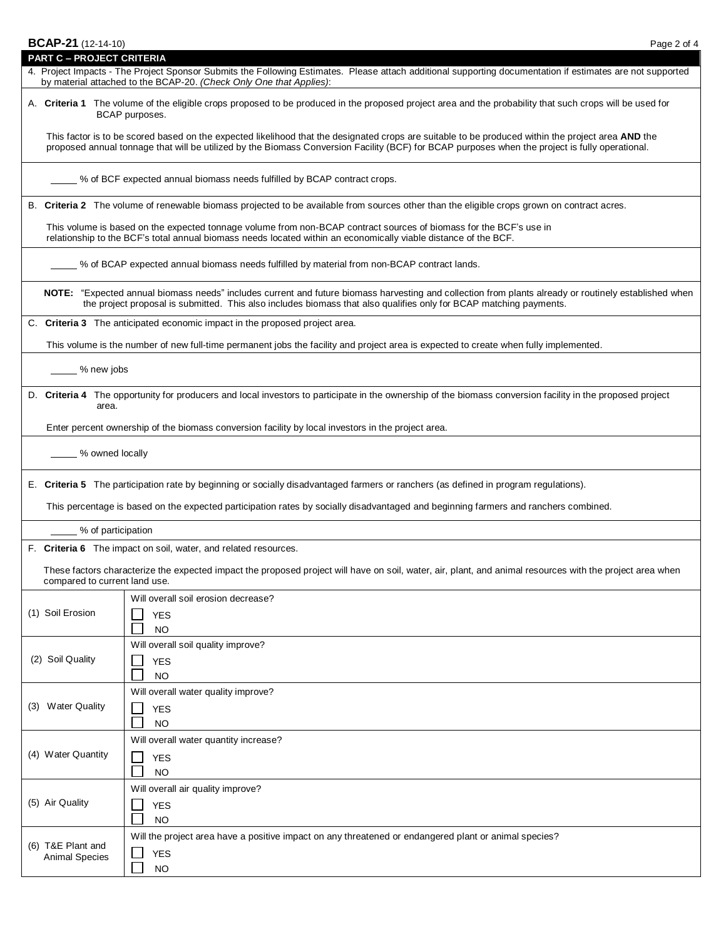| BCAP-21 (12-14-10)                         | Page 2 of 4                                                                                                                                                                                                                                                                                           |
|--------------------------------------------|-------------------------------------------------------------------------------------------------------------------------------------------------------------------------------------------------------------------------------------------------------------------------------------------------------|
| <b>PART C - PROJECT CRITERIA</b>           |                                                                                                                                                                                                                                                                                                       |
|                                            | 4. Project Impacts - The Project Sponsor Submits the Following Estimates. Please attach additional supporting documentation if estimates are not supported<br>by material attached to the BCAP-20. (Check Only One that Applies):                                                                     |
|                                            | A. Criteria 1 The volume of the eligible crops proposed to be produced in the proposed project area and the probability that such crops will be used for<br>BCAP purposes.                                                                                                                            |
|                                            | This factor is to be scored based on the expected likelihood that the designated crops are suitable to be produced within the project area AND the<br>proposed annual tonnage that will be utilized by the Biomass Conversion Facility (BCF) for BCAP purposes when the project is fully operational. |
|                                            | % of BCF expected annual biomass needs fulfilled by BCAP contract crops.                                                                                                                                                                                                                              |
|                                            | B. Criteria 2 The volume of renewable biomass projected to be available from sources other than the eligible crops grown on contract acres.                                                                                                                                                           |
|                                            | This volume is based on the expected tonnage volume from non-BCAP contract sources of biomass for the BCF's use in<br>relationship to the BCF's total annual biomass needs located within an economically viable distance of the BCF.                                                                 |
|                                            | 6. % of BCAP expected annual biomass needs fulfilled by material from non-BCAP contract lands.                                                                                                                                                                                                        |
|                                            | NOTE: "Expected annual biomass needs" includes current and future biomass harvesting and collection from plants already or routinely established when<br>the project proposal is submitted. This also includes biomass that also qualifies only for BCAP matching payments.                           |
|                                            | C. Criteria 3 The anticipated economic impact in the proposed project area.                                                                                                                                                                                                                           |
|                                            | This volume is the number of new full-time permanent jobs the facility and project area is expected to create when fully implemented.                                                                                                                                                                 |
| % new jobs                                 |                                                                                                                                                                                                                                                                                                       |
| area.                                      | D. Criteria 4 The opportunity for producers and local investors to participate in the ownership of the biomass conversion facility in the proposed project                                                                                                                                            |
|                                            | Enter percent ownership of the biomass conversion facility by local investors in the project area.                                                                                                                                                                                                    |
| ___ % owned locally                        |                                                                                                                                                                                                                                                                                                       |
|                                            | E. Criteria 5 The participation rate by beginning or socially disadvantaged farmers or ranchers (as defined in program regulations).                                                                                                                                                                  |
|                                            | This percentage is based on the expected participation rates by socially disadvantaged and beginning farmers and ranchers combined.                                                                                                                                                                   |
| % of participation                         |                                                                                                                                                                                                                                                                                                       |
|                                            | F. Criteria 6 The impact on soil, water, and related resources.                                                                                                                                                                                                                                       |
| compared to current land use.              | These factors characterize the expected impact the proposed project will have on soil, water, air, plant, and animal resources with the project area when                                                                                                                                             |
|                                            | Will overall soil erosion decrease?                                                                                                                                                                                                                                                                   |
| (1) Soil Erosion                           | <b>YES</b><br><b>NO</b>                                                                                                                                                                                                                                                                               |
|                                            | Will overall soil quality improve?                                                                                                                                                                                                                                                                    |
| (2) Soil Quality                           | <b>YES</b><br><b>NO</b>                                                                                                                                                                                                                                                                               |
|                                            | Will overall water quality improve?                                                                                                                                                                                                                                                                   |
| (3) Water Quality                          | <b>YES</b><br>NO.                                                                                                                                                                                                                                                                                     |
|                                            | Will overall water quantity increase?                                                                                                                                                                                                                                                                 |
| (4) Water Quantity                         | <b>YES</b><br><b>NO</b>                                                                                                                                                                                                                                                                               |
|                                            | Will overall air quality improve?                                                                                                                                                                                                                                                                     |
| (5) Air Quality                            | <b>YES</b><br><b>NO</b>                                                                                                                                                                                                                                                                               |
|                                            | Will the project area have a positive impact on any threatened or endangered plant or animal species?                                                                                                                                                                                                 |
| (6) T&E Plant and<br><b>Animal Species</b> | <b>YES</b><br><b>NO</b>                                                                                                                                                                                                                                                                               |
|                                            |                                                                                                                                                                                                                                                                                                       |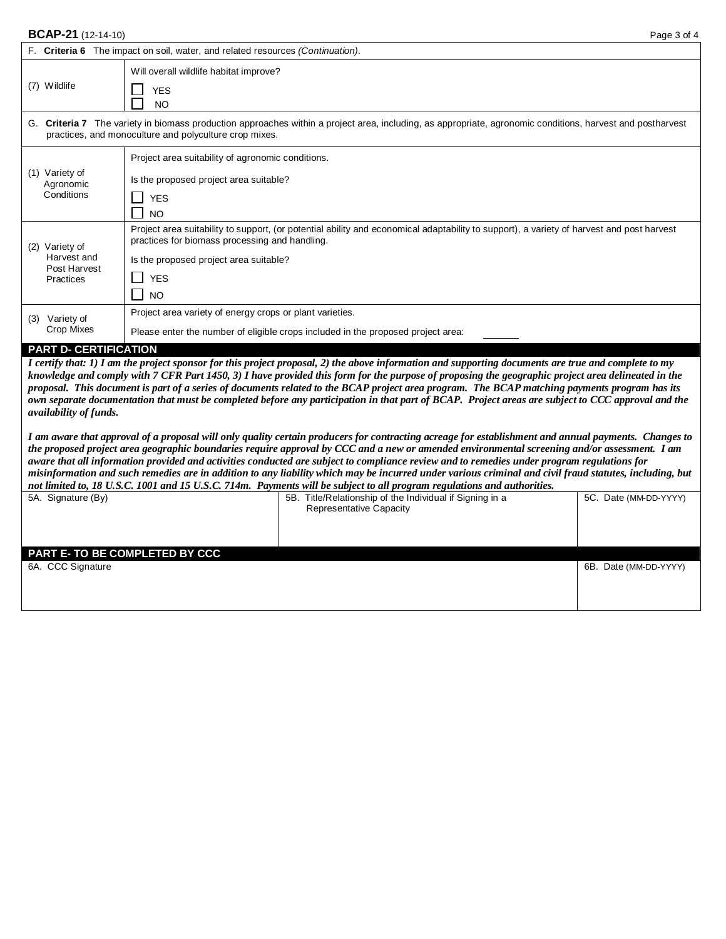### **BCAP-21** (12-14-10) Page 3 of 4

|     | F. Criteria 6 The impact on soil, water, and related resources (Continuation).                                                                                                                                    |                                                                                                                                                                                                                                                                  |  |  |  |  |  |  |
|-----|-------------------------------------------------------------------------------------------------------------------------------------------------------------------------------------------------------------------|------------------------------------------------------------------------------------------------------------------------------------------------------------------------------------------------------------------------------------------------------------------|--|--|--|--|--|--|
|     | (7) Wildlife                                                                                                                                                                                                      | Will overall wildlife habitat improve?<br><b>YES</b><br><b>NO</b>                                                                                                                                                                                                |  |  |  |  |  |  |
| G.  | Criteria 7 The variety in biomass production approaches within a project area, including, as appropriate, agronomic conditions, harvest and postharvest<br>practices, and monoculture and polyculture crop mixes. |                                                                                                                                                                                                                                                                  |  |  |  |  |  |  |
| (1) | Variety of<br>Agronomic<br>Conditions                                                                                                                                                                             | Project area suitability of agronomic conditions.<br>Is the proposed project area suitable?<br><b>YES</b><br><b>NO</b>                                                                                                                                           |  |  |  |  |  |  |
| (2) | Variety of<br>Harvest and<br>Post Harvest<br>Practices                                                                                                                                                            | Project area suitability to support, (or potential ability and economical adaptability to support), a variety of harvest and post harvest<br>practices for biomass processing and handling.<br>Is the proposed project area suitable?<br><b>YES</b><br><b>NO</b> |  |  |  |  |  |  |
| (3) | Variety of<br>Crop Mixes                                                                                                                                                                                          | Project area variety of energy crops or plant varieties.<br>Please enter the number of eligible crops included in the proposed project area:                                                                                                                     |  |  |  |  |  |  |

#### **PART D- CERTIFICATION**

*I certify that: 1) I am the project sponsor for this project proposal, 2) the above information and supporting documents are true and complete to my knowledge and comply with 7 CFR Part 1450, 3) I have provided this form for the purpose of proposing the geographic project area delineated in the proposal. This document is part of a series of documents related to the BCAP project area program. The BCAP matching payments program has its own separate documentation that must be completed before any participation in that part of BCAP. Project areas are subject to CCC approval and the availability of funds.*

*I am aware that approval of a proposal will only quality certain producers for contracting acreage for establishment and annual payments. Changes to the proposed project area geographic boundaries require approval by CCC and a new or amended environmental screening and/or assessment. I am aware that all information provided and activities conducted are subject to compliance review and to remedies under program regulations for misinformation and such remedies are in addition to any liability which may be incurred under various criminal and civil fraud statutes, including, but not limited to, 18 U.S.C. 1001 and 15 U.S.C. 714m. Payments will be subject to all program regulations and authorities.*

|                                       | .                                                        |                       |
|---------------------------------------|----------------------------------------------------------|-----------------------|
| 5A. Signature (By)                    | 5B. Title/Relationship of the Individual if Signing in a | 5C. Date (MM-DD-YYYY) |
|                                       | <b>Representative Capacity</b>                           |                       |
|                                       |                                                          |                       |
|                                       |                                                          |                       |
|                                       |                                                          |                       |
|                                       |                                                          |                       |
| <b>PART E- TO BE COMPLETED BY CCC</b> |                                                          |                       |
| 6A. CCC Signature                     |                                                          | 6B. Date (MM-DD-YYYY) |
|                                       |                                                          |                       |
|                                       |                                                          |                       |
|                                       |                                                          |                       |
|                                       |                                                          |                       |